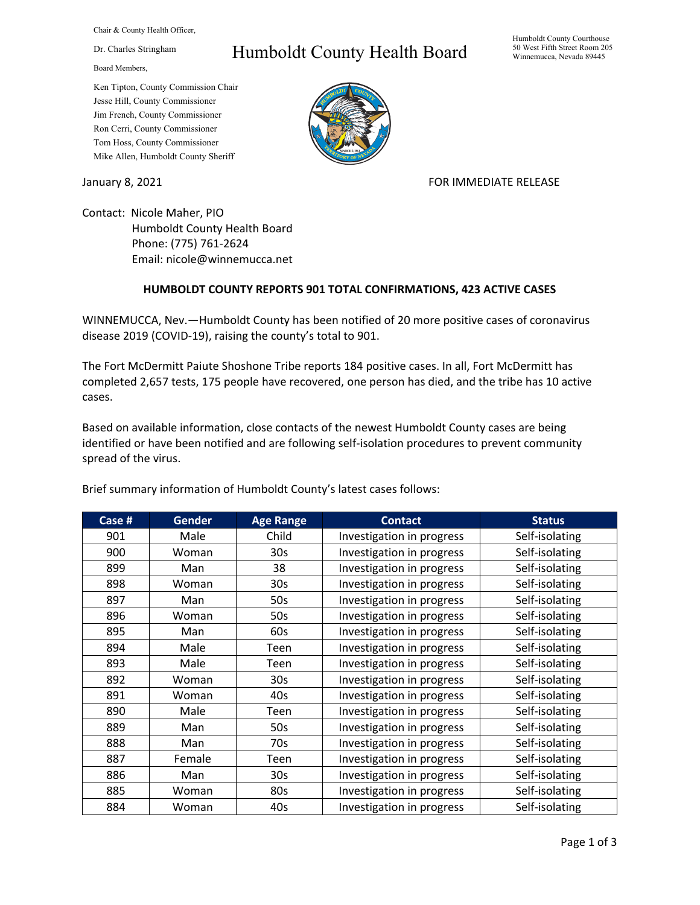Chair & County Health Officer,

## Dr. Charles Stringham

Board Members,

## Ken Tipton, County Commission Chair Jesse Hill, County Commissioner Jim French, County Commissioner Ron Cerri, County Commissioner Tom Hoss, County Commissioner Mike Allen, Humboldt County Sheriff

## Humboldt County Health Board



January 8, 2021 **FOR IMMEDIATE RELEASE** 

Contact: Nicole Maher, PIO Humboldt County Health Board Phone: (775) 761-2624 Email: nicole@winnemucca.net

## **HUMBOLDT COUNTY REPORTS 901 TOTAL CONFIRMATIONS, 423 ACTIVE CASES**

WINNEMUCCA, Nev.—Humboldt County has been notified of 20 more positive cases of coronavirus disease 2019 (COVID-19), raising the county's total to 901.

The Fort McDermitt Paiute Shoshone Tribe reports 184 positive cases. In all, Fort McDermitt has completed 2,657 tests, 175 people have recovered, one person has died, and the tribe has 10 active cases.

Based on available information, close contacts of the newest Humboldt County cases are being identified or have been notified and are following self-isolation procedures to prevent community spread of the virus.

| Case # | <b>Gender</b> | <b>Age Range</b> | <b>Contact</b>            | <b>Status</b>  |
|--------|---------------|------------------|---------------------------|----------------|
| 901    | Male          | Child            | Investigation in progress | Self-isolating |
| 900    | Woman         | 30 <sub>s</sub>  | Investigation in progress | Self-isolating |
| 899    | Man           | 38               | Investigation in progress | Self-isolating |
| 898    | Woman         | 30 <sub>s</sub>  | Investigation in progress | Self-isolating |
| 897    | Man           | 50s              | Investigation in progress | Self-isolating |
| 896    | Woman         | 50s              | Investigation in progress | Self-isolating |
| 895    | Man           | 60s              | Investigation in progress | Self-isolating |
| 894    | Male          | Teen             | Investigation in progress | Self-isolating |
| 893    | Male          | Teen             | Investigation in progress | Self-isolating |
| 892    | Woman         | 30 <sub>s</sub>  | Investigation in progress | Self-isolating |
| 891    | Woman         | 40s              | Investigation in progress | Self-isolating |
| 890    | Male          | Teen             | Investigation in progress | Self-isolating |
| 889    | Man           | 50s              | Investigation in progress | Self-isolating |
| 888    | Man           | 70s              | Investigation in progress | Self-isolating |
| 887    | Female        | Teen             | Investigation in progress | Self-isolating |
| 886    | Man           | 30 <sub>s</sub>  | Investigation in progress | Self-isolating |
| 885    | Woman         | 80s              | Investigation in progress | Self-isolating |
| 884    | Woman         | 40s              | Investigation in progress | Self-isolating |

Brief summary information of Humboldt County's latest cases follows: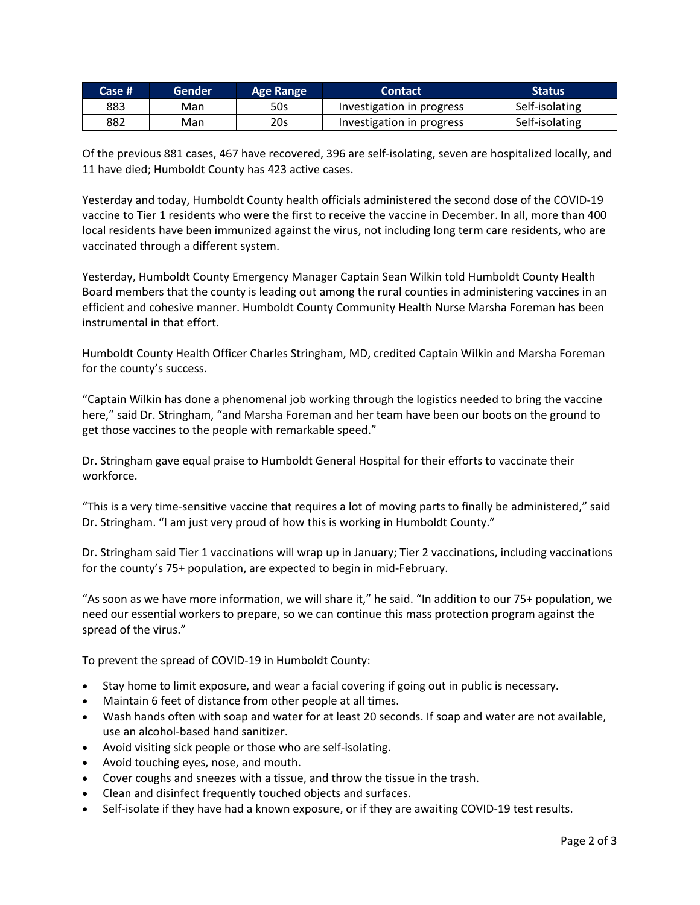| Case # | Gender | Age Range | <b>Contact</b>            | Status         |
|--------|--------|-----------|---------------------------|----------------|
| 883    | Man    | 50s       | Investigation in progress | Self-isolating |
| 882    | Man    | 20s       | Investigation in progress | Self-isolating |

Of the previous 881 cases, 467 have recovered, 396 are self-isolating, seven are hospitalized locally, and 11 have died; Humboldt County has 423 active cases.

Yesterday and today, Humboldt County health officials administered the second dose of the COVID-19 vaccine to Tier 1 residents who were the first to receive the vaccine in December. In all, more than 400 local residents have been immunized against the virus, not including long term care residents, who are vaccinated through a different system.

Yesterday, Humboldt County Emergency Manager Captain Sean Wilkin told Humboldt County Health Board members that the county is leading out among the rural counties in administering vaccines in an efficient and cohesive manner. Humboldt County Community Health Nurse Marsha Foreman has been instrumental in that effort.

Humboldt County Health Officer Charles Stringham, MD, credited Captain Wilkin and Marsha Foreman for the county's success.

"Captain Wilkin has done a phenomenal job working through the logistics needed to bring the vaccine here," said Dr. Stringham, "and Marsha Foreman and her team have been our boots on the ground to get those vaccines to the people with remarkable speed."

Dr. Stringham gave equal praise to Humboldt General Hospital for their efforts to vaccinate their workforce.

"This is a very time-sensitive vaccine that requires a lot of moving parts to finally be administered," said Dr. Stringham. "I am just very proud of how this is working in Humboldt County."

Dr. Stringham said Tier 1 vaccinations will wrap up in January; Tier 2 vaccinations, including vaccinations for the county's 75+ population, are expected to begin in mid-February.

"As soon as we have more information, we will share it," he said. "In addition to our 75+ population, we need our essential workers to prepare, so we can continue this mass protection program against the spread of the virus."

To prevent the spread of COVID-19 in Humboldt County:

- Stay home to limit exposure, and wear a facial covering if going out in public is necessary.
- Maintain 6 feet of distance from other people at all times.
- Wash hands often with soap and water for at least 20 seconds. If soap and water are not available, use an alcohol-based hand sanitizer.
- Avoid visiting sick people or those who are self-isolating.
- Avoid touching eyes, nose, and mouth.
- Cover coughs and sneezes with a tissue, and throw the tissue in the trash.
- Clean and disinfect frequently touched objects and surfaces.
- Self-isolate if they have had a known exposure, or if they are awaiting COVID-19 test results.